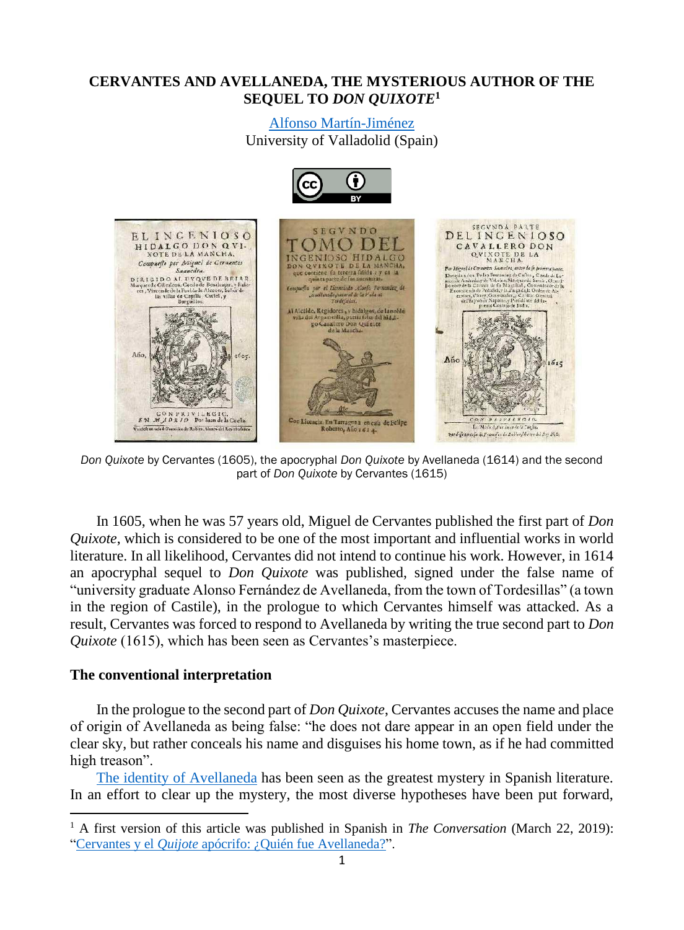# **CERVANTES AND AVELLANEDA, THE MYSTERIOUS AUTHOR OF THE SEQUEL TO** *DON QUIXOTE***<sup>1</sup>**

# [Alfonso Martín-Jiménez](http://alfonsomartinjimenez.blogs.uva.es/)

University of Valladolid (Spain)



*Don Quixote* by Cervantes (1605), the apocryphal *Don Quixote* by Avellaneda (1614) and the second part of *Don Quixote* by Cervantes (1615)

In 1605, when he was 57 years old, Miguel de Cervantes published the first part of *Don Quixote*, which is considered to be one of the most important and influential works in world literature. In all likelihood, Cervantes did not intend to continue his work. However, in 1614 an apocryphal sequel to *Don Quixote* was published, signed under the false name of "university graduate Alonso Fernández de Avellaneda, from the town of Tordesillas" (a town in the region of Castile), in the prologue to which Cervantes himself was attacked. As a result, Cervantes was forced to respond to Avellaneda by writing the true second part to *Don Quixote* (1615), which has been seen as Cervantes's masterpiece.

## **The conventional interpretation**

In the prologue to the second part of *Don Quixote*, Cervantes accuses the name and place of origin of Avellaneda as being false: "he does not dare appear in an open field under the clear sky, but rather conceals his name and disguises his home town, as if he had committed high treason".

[The identity of Avellaneda](https://www.youtube.com/watch?v=4OmFF1oRXzg&list=PLX5g2SfUFxLYt_O6KJWC2PtP_b4beG93y&index=4&ab_channel=AlfonsoMart%C3%ADnJim%C3%A9nez) has been seen as the greatest mystery in Spanish literature. In an effort to clear up the mystery, the most diverse hypotheses have been put forward,

<sup>1</sup> A first version of this article was published in Spanish in *The Conversation* (March 22, 2019): "Cervantes y el *Quijote* [apócrifo: ¿Quién fue](https://theconversation.com/cervantes-y-el-quijote-apocrifo-quien-fue-avellaneda-113331) Avellaneda?".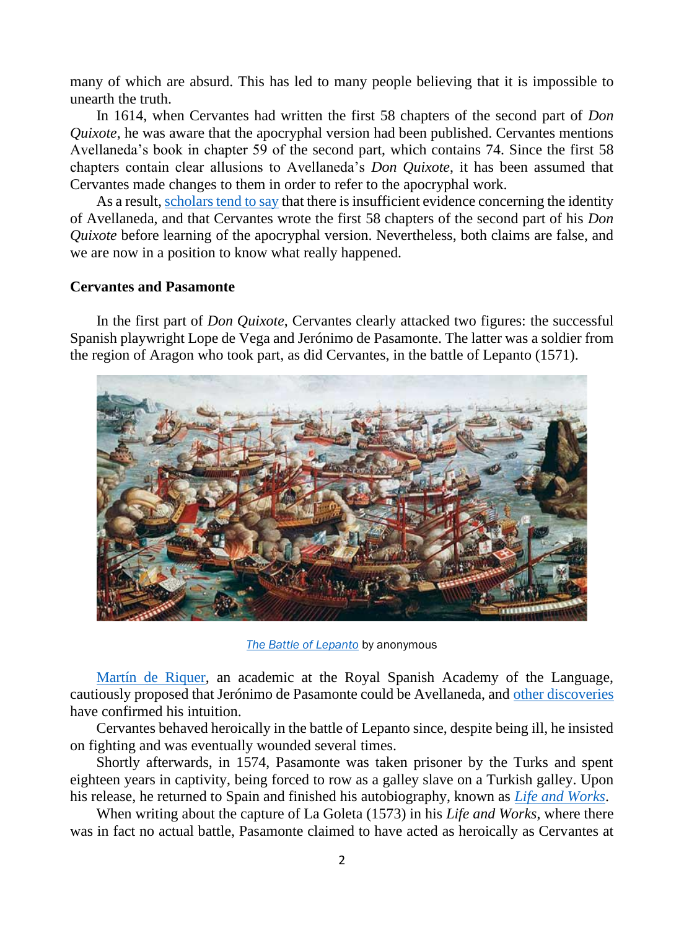many of which are absurd. This has led to many people believing that it is impossible to unearth the truth.

In 1614, when Cervantes had written the first 58 chapters of the second part of *Don Quixote*, he was aware that the apocryphal version had been published. Cervantes mentions Avellaneda's book in chapter 59 of the second part, which contains 74. Since the first 58 chapters contain clear allusions to Avellaneda's *Don Quixote*, it has been assumed that Cervantes made changes to them in order to refer to the apocryphal work.

As a result, [scholars tend to say](http://uvadoc.uva.es/handle/10324/4564) that there is insufficient evidence concerning the identity of Avellaneda, and that Cervantes wrote the first 58 chapters of the second part of his *Don Quixote* before learning of the apocryphal version. Nevertheless, both claims are false, and we are now in a position to know what really happened.

## **Cervantes and Pasamonte**

In the first part of *Don Quixote*, Cervantes clearly attacked two figures: the successful Spanish playwright Lope de Vega and Jerónimo de Pasamonte. The latter was a soldier from the region of Aragon who took part, as did Cervantes, in the battle of Lepanto (1571).



*[The Battle of Lepanto](https://en.wikipedia.org/wiki/Battle_of_Lepanto)* by anonymous

[Martín de Riquer,](https://es.wikipedia.org/wiki/Mart%C3%ADn_de_Riquer) an academic at the Royal Spanish Academy of the Language, cautiously proposed that Jerónimo de Pasamonte could be Avellaneda, and [other discoveries](http://alfonsomartinjimenez.blogs.uva.es/enlaces/cervates-avellaneda-pasamonte-y-lope-de-vega/) have confirmed his intuition.

Cervantes behaved heroically in the battle of Lepanto since, despite being ill, he insisted on fighting and was eventually wounded several times.

Shortly afterwards, in 1574, Pasamonte was taken prisoner by the Turks and spent eighteen years in captivity, being forced to row as a galley slave on a Turkish galley. Upon his release, he returned to Spain and finished his autobiography, known as *[Life and Works](http://www.cervantesvirtual.com/obra/vida-y-trabajos/)*.

When writing about the capture of La Goleta (1573) in his *Life and Works*, where there was in fact no actual battle, Pasamonte claimed to have acted as heroically as Cervantes at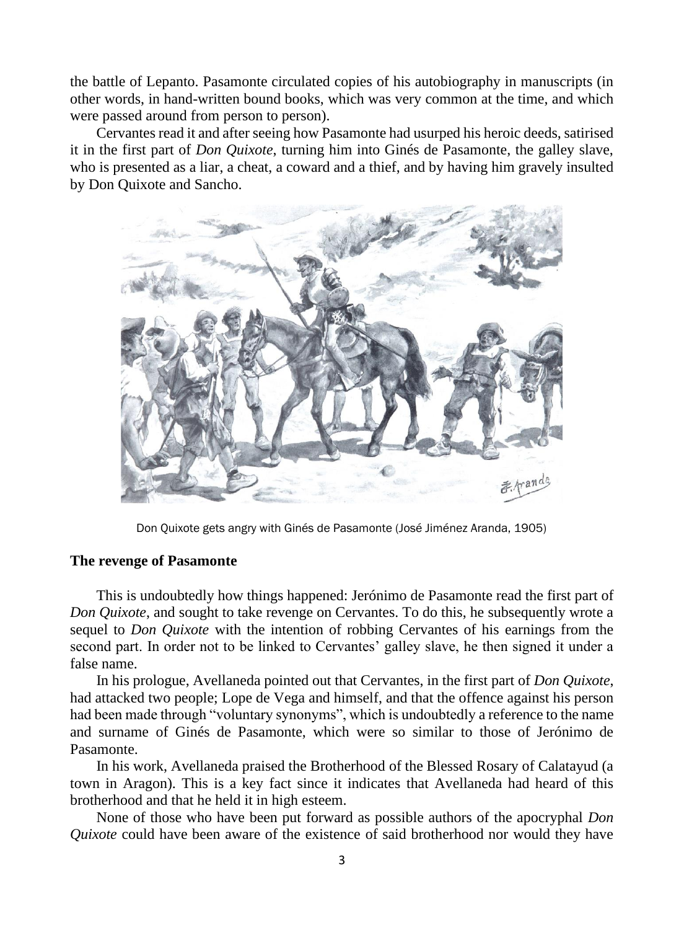the battle of Lepanto. Pasamonte circulated copies of his autobiography in manuscripts (in other words, in hand-written bound books, which was very common at the time, and which were passed around from person to person).

Cervantes read it and after seeing how Pasamonte had usurped his heroic deeds, satirised it in the first part of *Don Quixote*, turning him into Ginés de Pasamonte, the galley slave, who is presented as a liar, a cheat, a coward and a thief, and by having him gravely insulted by Don Quixote and Sancho.



Don Quixote gets angry with Ginés de Pasamonte (José Jiménez Aranda, 1905)

## **The revenge of Pasamonte**

This is undoubtedly how things happened: Jerónimo de Pasamonte read the first part of *Don Quixote*, and sought to take revenge on Cervantes. To do this, he subsequently wrote a sequel to *Don Quixote* with the intention of robbing Cervantes of his earnings from the second part. In order not to be linked to Cervantes' galley slave, he then signed it under a false name.

In his prologue, Avellaneda pointed out that Cervantes, in the first part of *Don Quixote*, had attacked two people; Lope de Vega and himself, and that the offence against his person had been made through "voluntary synonyms", which is undoubtedly a reference to the name and surname of Ginés de Pasamonte, which were so similar to those of Jerónimo de Pasamonte.

In his work, Avellaneda praised the Brotherhood of the Blessed Rosary of Calatayud (a town in Aragon). This is a key fact since it indicates that Avellaneda had heard of this brotherhood and that he held it in high esteem.

None of those who have been put forward as possible authors of the apocryphal *Don Quixote* could have been aware of the existence of said brotherhood nor would they have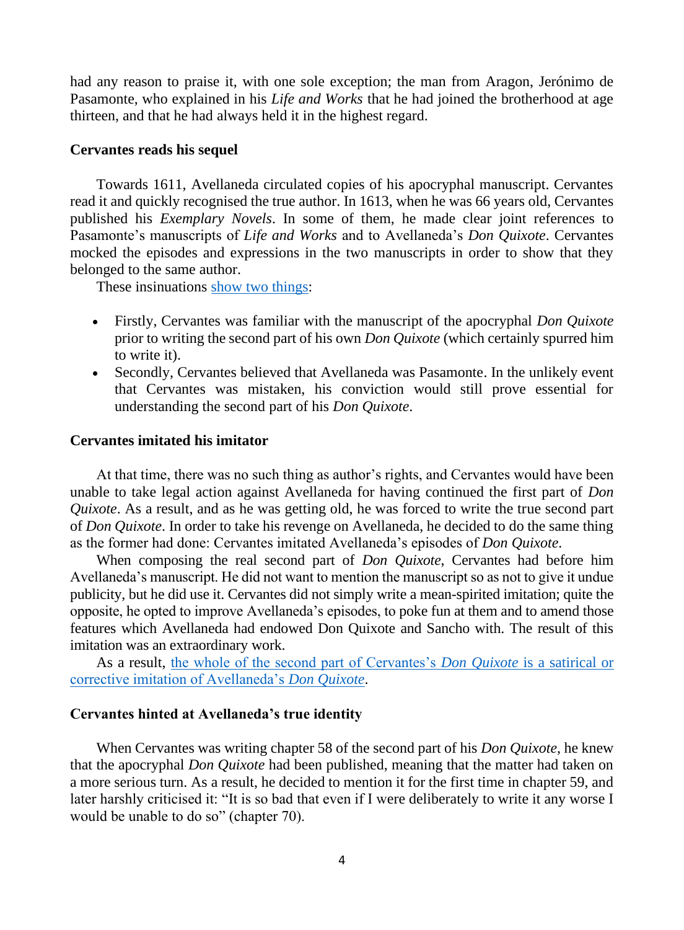had any reason to praise it, with one sole exception; the man from Aragon, Jerónimo de Pasamonte, who explained in his *Life and Works* that he had joined the brotherhood at age thirteen, and that he had always held it in the highest regard.

#### **Cervantes reads his sequel**

Towards 1611, Avellaneda circulated copies of his apocryphal manuscript. Cervantes read it and quickly recognised the true author. In 1613, when he was 66 years old, Cervantes published his *Exemplary Novels*. In some of them, he made clear joint references to Pasamonte's manuscripts of *Life and Works* and to Avellaneda's *Don Quixote*. Cervantes mocked the episodes and expressions in the two manuscripts in order to show that they belonged to the same author.

These insinuations [show two things:](http://alfonsomartinjimenez.blogs.uva.es/files/2019/03/Cervantes-y-Avellaneda-1616-2016.-Presunciones-y-certidumbres.pdf)

- Firstly, Cervantes was familiar with the manuscript of the apocryphal *Don Quixote* prior to writing the second part of his own *Don Quixote* (which certainly spurred him to write it).
- Secondly, Cervantes believed that Avellaneda was Pasamonte. In the unlikely event that Cervantes was mistaken, his conviction would still prove essential for understanding the second part of his *Don Quixote*.

### **Cervantes imitated his imitator**

At that time, there was no such thing as author's rights, and Cervantes would have been unable to take legal action against Avellaneda for having continued the first part of *Don Quixote*. As a result, and as he was getting old, he was forced to write the true second part of *Don Quixote*. In order to take his revenge on Avellaneda, he decided to do the same thing as the former had done: Cervantes imitated Avellaneda's episodes of *Don Quixote*.

When composing the real second part of *Don Quixote*, Cervantes had before him Avellaneda's manuscript. He did not want to mention the manuscript so as not to give it undue publicity, but he did use it. Cervantes did not simply write a mean-spirited imitation; quite the opposite, he opted to improve Avellaneda's episodes, to poke fun at them and to amend those features which Avellaneda had endowed Don Quixote and Sancho with. The result of this imitation was an extraordinary work.

As a result, [the whole of the second part of Cervantes's](http://alfonsomartinjimenez.blogs.uva.es/publicaciones-en-internet/libro/) *Don Quixote* is a satirical or [corrective imitation of Avellaneda's](http://alfonsomartinjimenez.blogs.uva.es/publicaciones-en-internet/libro/) *Don Quixote*.

#### **Cervantes hinted at Avellaneda's true identity**

When Cervantes was writing chapter 58 of the second part of his *Don Quixote*, he knew that the apocryphal *Don Quixote* had been published, meaning that the matter had taken on a more serious turn. As a result, he decided to mention it for the first time in chapter 59, and later harshly criticised it: "It is so bad that even if I were deliberately to write it any worse I would be unable to do so" (chapter 70).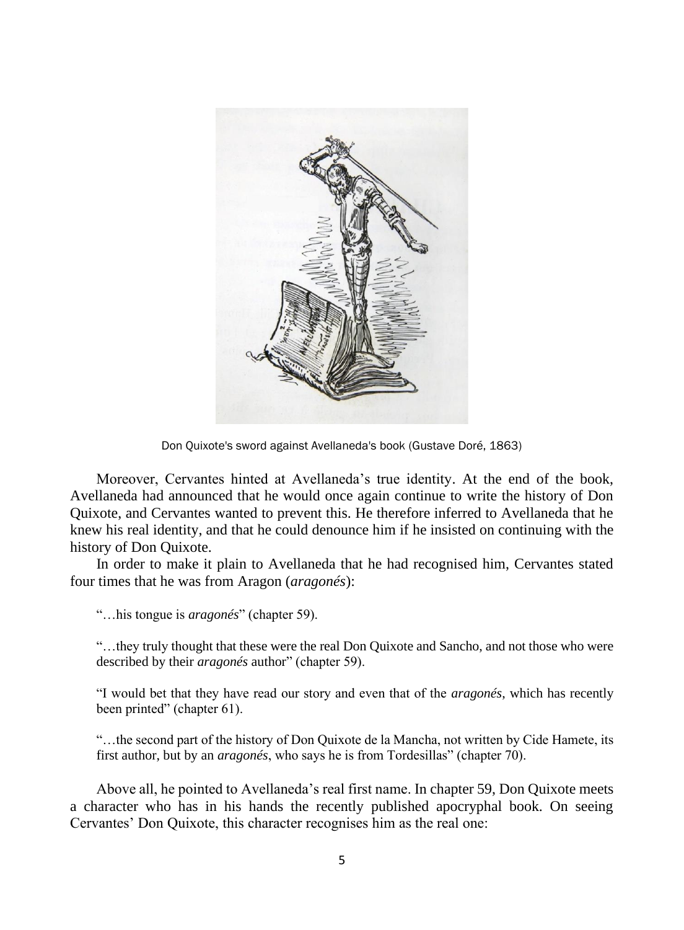

Don Quixote's sword against Avellaneda's book (Gustave Doré, 1863)

Moreover, Cervantes hinted at Avellaneda's true identity. At the end of the book, Avellaneda had announced that he would once again continue to write the history of Don Quixote, and Cervantes wanted to prevent this. He therefore inferred to Avellaneda that he knew his real identity, and that he could denounce him if he insisted on continuing with the history of Don Quixote.

In order to make it plain to Avellaneda that he had recognised him, Cervantes stated four times that he was from Aragon (*aragonés*):

"…his tongue is *aragonés*" (chapter 59).

"…they truly thought that these were the real Don Quixote and Sancho, and not those who were described by their *aragonés* author" (chapter 59).

"I would bet that they have read our story and even that of the *aragonés*, which has recently been printed" (chapter 61).

"…the second part of the history of Don Quixote de la Mancha, not written by Cide Hamete, its first author, but by an *aragonés*, who says he is from Tordesillas" (chapter 70).

Above all, he pointed to Avellaneda's real first name. In chapter 59, Don Quixote meets a character who has in his hands the recently published apocryphal book. On seeing Cervantes' Don Quixote, this character recognises him as the real one: